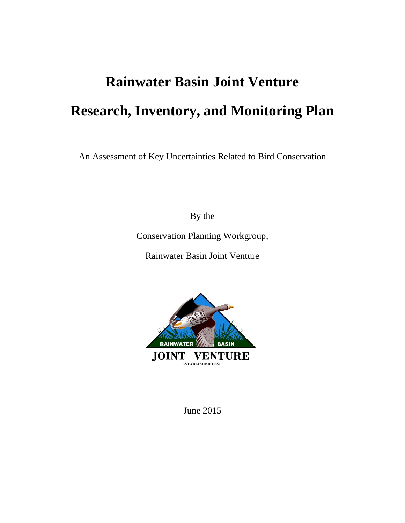# **Rainwater Basin Joint Venture Research, Inventory, and Monitoring Plan**

An Assessment of Key Uncertainties Related to Bird Conservation

By the

Conservation Planning Workgroup,

Rainwater Basin Joint Venture



June 2015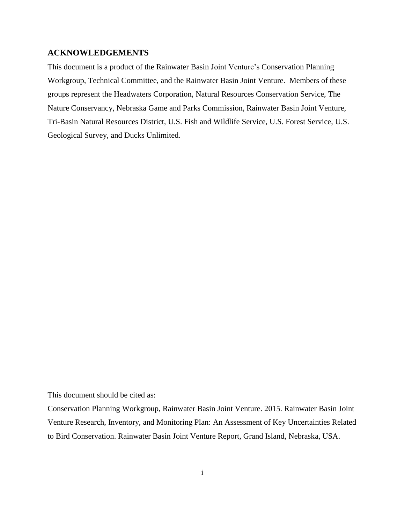#### <span id="page-1-0"></span>**ACKNOWLEDGEMENTS**

This document is a product of the Rainwater Basin Joint Venture's Conservation Planning Workgroup, Technical Committee, and the Rainwater Basin Joint Venture. Members of these groups represent the Headwaters Corporation, Natural Resources Conservation Service, The Nature Conservancy, Nebraska Game and Parks Commission, Rainwater Basin Joint Venture, Tri-Basin Natural Resources District, U.S. Fish and Wildlife Service, U.S. Forest Service, U.S. Geological Survey, and Ducks Unlimited.

This document should be cited as:

Conservation Planning Workgroup, Rainwater Basin Joint Venture. 2015. Rainwater Basin Joint Venture Research, Inventory, and Monitoring Plan: An Assessment of Key Uncertainties Related to Bird Conservation. Rainwater Basin Joint Venture Report, Grand Island, Nebraska, USA.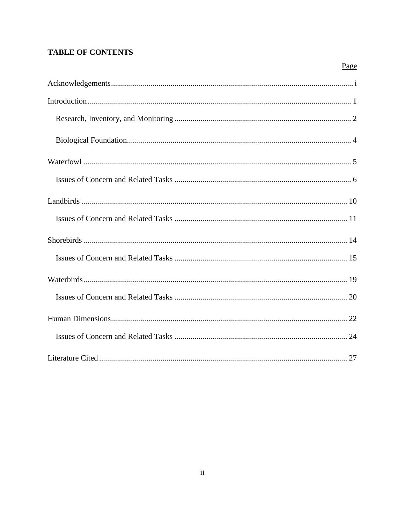## **TABLE OF CONTENTS**

| Page |
|------|
|      |
|      |
|      |
|      |
|      |
|      |
|      |
|      |
|      |
|      |
|      |
|      |
|      |
|      |
|      |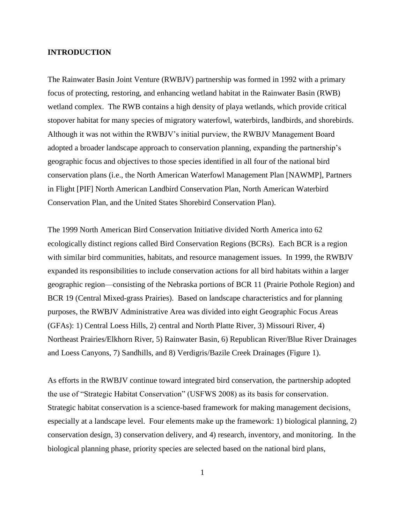#### <span id="page-3-0"></span>**INTRODUCTION**

The Rainwater Basin Joint Venture (RWBJV) partnership was formed in 1992 with a primary focus of protecting, restoring, and enhancing wetland habitat in the Rainwater Basin (RWB) wetland complex. The RWB contains a high density of playa wetlands, which provide critical stopover habitat for many species of migratory waterfowl, waterbirds, landbirds, and shorebirds. Although it was not within the RWBJV's initial purview, the RWBJV Management Board adopted a broader landscape approach to conservation planning, expanding the partnership's geographic focus and objectives to those species identified in all four of the national bird conservation plans (i.e., the North American Waterfowl Management Plan [NAWMP], Partners in Flight [PIF] North American Landbird Conservation Plan, North American Waterbird Conservation Plan, and the United States Shorebird Conservation Plan).

The 1999 North American Bird Conservation Initiative divided North America into 62 ecologically distinct regions called Bird Conservation Regions (BCRs). Each BCR is a region with similar bird communities, habitats, and resource management issues. In 1999, the RWBJV expanded its responsibilities to include conservation actions for all bird habitats within a larger geographic region—consisting of the Nebraska portions of BCR 11 (Prairie Pothole Region) and BCR 19 (Central Mixed-grass Prairies). Based on landscape characteristics and for planning purposes, the RWBJV Administrative Area was divided into eight Geographic Focus Areas (GFAs): 1) Central Loess Hills, 2) central and North Platte River, 3) Missouri River, 4) Northeast Prairies/Elkhorn River, 5) Rainwater Basin, 6) Republican River/Blue River Drainages and Loess Canyons, 7) Sandhills, and 8) Verdigris/Bazile Creek Drainages (Figure 1).

As efforts in the RWBJV continue toward integrated bird conservation, the partnership adopted the use of "Strategic Habitat Conservation" (USFWS 2008) as its basis for conservation. Strategic habitat conservation is a science-based framework for making management decisions, especially at a landscape level. Four elements make up the framework: 1) biological planning, 2) conservation design, 3) conservation delivery, and 4) research, inventory, and monitoring. In the biological planning phase, priority species are selected based on the national bird plans,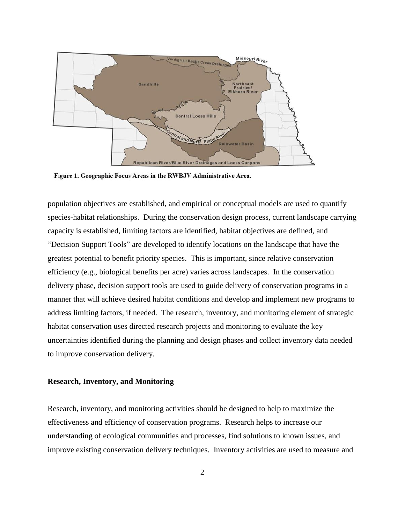

Figure 1. Geographic Focus Areas in the RWBJV Administrative Area.

population objectives are established, and empirical or conceptual models are used to quantify species-habitat relationships. During the conservation design process, current landscape carrying capacity is established, limiting factors are identified, habitat objectives are defined, and "Decision Support Tools" are developed to identify locations on the landscape that have the greatest potential to benefit priority species. This is important, since relative conservation efficiency (e.g., biological benefits per acre) varies across landscapes. In the conservation delivery phase, decision support tools are used to guide delivery of conservation programs in a manner that will achieve desired habitat conditions and develop and implement new programs to address limiting factors, if needed. The research, inventory, and monitoring element of strategic habitat conservation uses directed research projects and monitoring to evaluate the key uncertainties identified during the planning and design phases and collect inventory data needed to improve conservation delivery.

#### <span id="page-4-0"></span>**Research, Inventory, and Monitoring**

Research, inventory, and monitoring activities should be designed to help to maximize the effectiveness and efficiency of conservation programs. Research helps to increase our understanding of ecological communities and processes, find solutions to known issues, and improve existing conservation delivery techniques. Inventory activities are used to measure and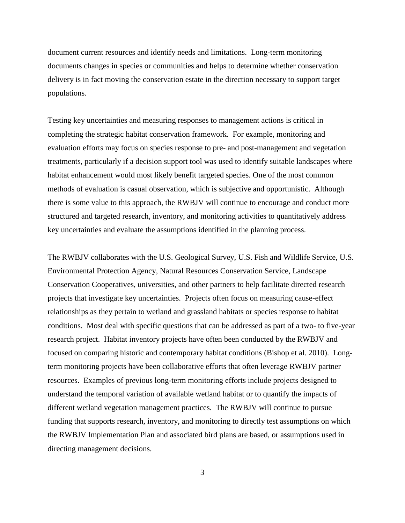document current resources and identify needs and limitations. Long-term monitoring documents changes in species or communities and helps to determine whether conservation delivery is in fact moving the conservation estate in the direction necessary to support target populations.

Testing key uncertainties and measuring responses to management actions is critical in completing the strategic habitat conservation framework. For example, monitoring and evaluation efforts may focus on species response to pre- and post-management and vegetation treatments, particularly if a decision support tool was used to identify suitable landscapes where habitat enhancement would most likely benefit targeted species. One of the most common methods of evaluation is casual observation, which is subjective and opportunistic. Although there is some value to this approach, the RWBJV will continue to encourage and conduct more structured and targeted research, inventory, and monitoring activities to quantitatively address key uncertainties and evaluate the assumptions identified in the planning process.

The RWBJV collaborates with the U.S. Geological Survey, U.S. Fish and Wildlife Service, U.S. Environmental Protection Agency, Natural Resources Conservation Service, Landscape Conservation Cooperatives, universities, and other partners to help facilitate directed research projects that investigate key uncertainties. Projects often focus on measuring cause-effect relationships as they pertain to wetland and grassland habitats or species response to habitat conditions. Most deal with specific questions that can be addressed as part of a two- to five-year research project. Habitat inventory projects have often been conducted by the RWBJV and focused on comparing historic and contemporary habitat conditions (Bishop et al. 2010). Longterm monitoring projects have been collaborative efforts that often leverage RWBJV partner resources. Examples of previous long-term monitoring efforts include projects designed to understand the temporal variation of available wetland habitat or to quantify the impacts of different wetland vegetation management practices. The RWBJV will continue to pursue funding that supports research, inventory, and monitoring to directly test assumptions on which the RWBJV Implementation Plan and associated bird plans are based, or assumptions used in directing management decisions.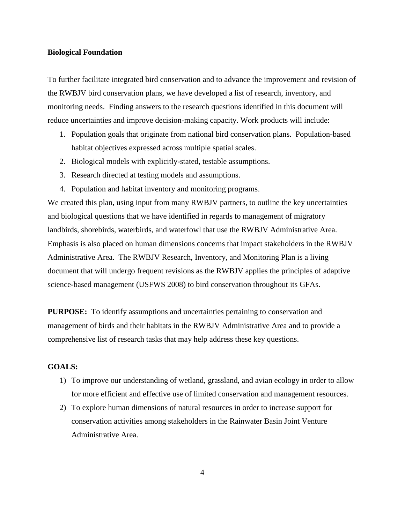#### <span id="page-6-0"></span>**Biological Foundation**

To further facilitate integrated bird conservation and to advance the improvement and revision of the RWBJV bird conservation plans, we have developed a list of research, inventory, and monitoring needs. Finding answers to the research questions identified in this document will reduce uncertainties and improve decision-making capacity. Work products will include:

- 1. Population goals that originate from national bird conservation plans. Population-based habitat objectives expressed across multiple spatial scales.
- 2. Biological models with explicitly-stated, testable assumptions.
- 3. Research directed at testing models and assumptions.
- 4. Population and habitat inventory and monitoring programs.

We created this plan, using input from many RWBJV partners, to outline the key uncertainties and biological questions that we have identified in regards to management of migratory landbirds, shorebirds, waterbirds, and waterfowl that use the RWBJV Administrative Area. Emphasis is also placed on human dimensions concerns that impact stakeholders in the RWBJV Administrative Area. The RWBJV Research, Inventory, and Monitoring Plan is a living document that will undergo frequent revisions as the RWBJV applies the principles of adaptive science-based management (USFWS 2008) to bird conservation throughout its GFAs.

**PURPOSE:** To identify assumptions and uncertainties pertaining to conservation and management of birds and their habitats in the RWBJV Administrative Area and to provide a comprehensive list of research tasks that may help address these key questions.

### **GOALS:**

- 1) To improve our understanding of wetland, grassland, and avian ecology in order to allow for more efficient and effective use of limited conservation and management resources.
- 2) To explore human dimensions of natural resources in order to increase support for conservation activities among stakeholders in the Rainwater Basin Joint Venture Administrative Area.

4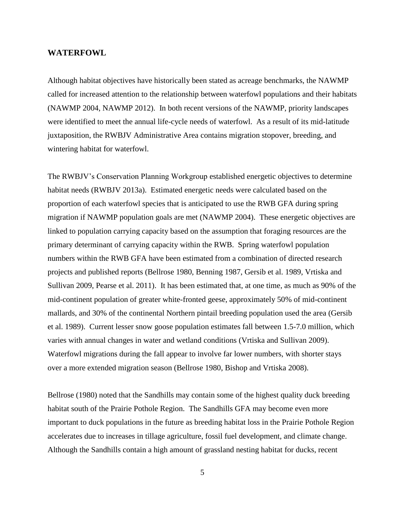#### <span id="page-7-0"></span>**WATERFOWL**

Although habitat objectives have historically been stated as acreage benchmarks, the NAWMP called for increased attention to the relationship between waterfowl populations and their habitats (NAWMP 2004, NAWMP 2012). In both recent versions of the NAWMP, priority landscapes were identified to meet the annual life-cycle needs of waterfowl. As a result of its mid-latitude juxtaposition, the RWBJV Administrative Area contains migration stopover, breeding, and wintering habitat for waterfowl.

The RWBJV's Conservation Planning Workgroup established energetic objectives to determine habitat needs (RWBJV 2013a). Estimated energetic needs were calculated based on the proportion of each waterfowl species that is anticipated to use the RWB GFA during spring migration if NAWMP population goals are met (NAWMP 2004). These energetic objectives are linked to population carrying capacity based on the assumption that foraging resources are the primary determinant of carrying capacity within the RWB. Spring waterfowl population numbers within the RWB GFA have been estimated from a combination of directed research projects and published reports (Bellrose 1980, Benning 1987, Gersib et al. 1989, Vrtiska and Sullivan 2009, Pearse et al. 2011). It has been estimated that, at one time, as much as 90% of the mid-continent population of greater white-fronted geese, approximately 50% of mid-continent mallards, and 30% of the continental Northern pintail breeding population used the area (Gersib et al. 1989). Current lesser snow goose population estimates fall between 1.5-7.0 million, which varies with annual changes in water and wetland conditions (Vrtiska and Sullivan 2009). Waterfowl migrations during the fall appear to involve far lower numbers, with shorter stays over a more extended migration season (Bellrose 1980, Bishop and Vrtiska 2008).

Bellrose (1980) noted that the Sandhills may contain some of the highest quality duck breeding habitat south of the Prairie Pothole Region. The Sandhills GFA may become even more important to duck populations in the future as breeding habitat loss in the Prairie Pothole Region accelerates due to increases in tillage agriculture, fossil fuel development, and climate change. Although the Sandhills contain a high amount of grassland nesting habitat for ducks, recent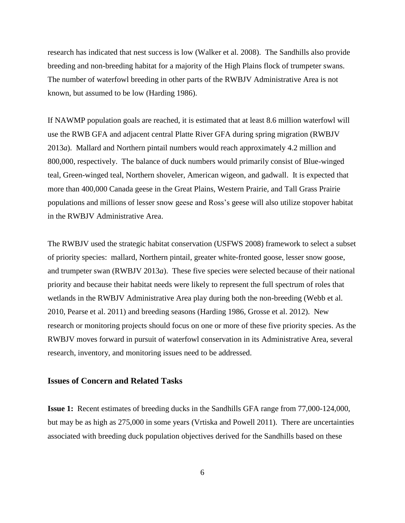research has indicated that nest success is low (Walker et al. 2008). The Sandhills also provide breeding and non-breeding habitat for a majority of the High Plains flock of trumpeter swans. The number of waterfowl breeding in other parts of the RWBJV Administrative Area is not known, but assumed to be low (Harding 1986).

If NAWMP population goals are reached, it is estimated that at least 8.6 million waterfowl will use the RWB GFA and adjacent central Platte River GFA during spring migration (RWBJV 2013*a*). Mallard and Northern pintail numbers would reach approximately 4.2 million and 800,000, respectively. The balance of duck numbers would primarily consist of Blue-winged teal, Green-winged teal, Northern shoveler, American wigeon, and gadwall. It is expected that more than 400,000 Canada geese in the Great Plains, Western Prairie, and Tall Grass Prairie populations and millions of lesser snow geese and Ross's geese will also utilize stopover habitat in the RWBJV Administrative Area.

The RWBJV used the strategic habitat conservation (USFWS 2008) framework to select a subset of priority species: mallard, Northern pintail, greater white-fronted goose, lesser snow goose, and trumpeter swan (RWBJV 2013*a*). These five species were selected because of their national priority and because their habitat needs were likely to represent the full spectrum of roles that wetlands in the RWBJV Administrative Area play during both the non-breeding (Webb et al. 2010, Pearse et al. 2011) and breeding seasons (Harding 1986, Grosse et al. 2012). New research or monitoring projects should focus on one or more of these five priority species. As the RWBJV moves forward in pursuit of waterfowl conservation in its Administrative Area, several research, inventory, and monitoring issues need to be addressed.

#### <span id="page-8-0"></span>**Issues of Concern and Related Tasks**

**Issue 1:** Recent estimates of breeding ducks in the Sandhills GFA range from 77,000-124,000, but may be as high as 275,000 in some years (Vrtiska and Powell 2011). There are uncertainties associated with breeding duck population objectives derived for the Sandhills based on these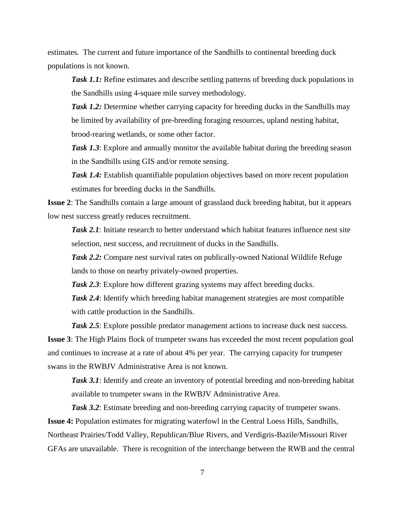estimates. The current and future importance of the Sandhills to continental breeding duck populations is not known.

**Task 1.1:** Refine estimates and describe settling patterns of breeding duck populations in the Sandhills using 4-square mile survey methodology.

*Task 1.2:* Determine whether carrying capacity for breeding ducks in the Sandhills may be limited by availability of pre-breeding foraging resources, upland nesting habitat, brood-rearing wetlands, or some other factor.

*Task 1.3*: Explore and annually monitor the available habitat during the breeding season in the Sandhills using GIS and/or remote sensing.

*Task 1.4:* Establish quantifiable population objectives based on more recent population estimates for breeding ducks in the Sandhills.

**Issue 2**: The Sandhills contain a large amount of grassland duck breeding habitat, but it appears low nest success greatly reduces recruitment.

*Task 2.1*: Initiate research to better understand which habitat features influence nest site selection, nest success, and recruitment of ducks in the Sandhills.

*Task 2.2:* Compare nest survival rates on publically-owned National Wildlife Refuge lands to those on nearby privately-owned properties.

**Task 2.3**: Explore how different grazing systems may affect breeding ducks.

*Task 2.4*: Identify which breeding habitat management strategies are most compatible with cattle production in the Sandhills.

*Task 2.5*: Explore possible predator management actions to increase duck nest success. **Issue 3**: The High Plains flock of trumpeter swans has exceeded the most recent population goal and continues to increase at a rate of about 4% per year. The carrying capacity for trumpeter swans in the RWBJV Administrative Area is not known.

**Task 3.1**: Identify and create an inventory of potential breeding and non-breeding habitat available to trumpeter swans in the RWBJV Administrative Area.

**Task 3.2**: Estimate breeding and non-breeding carrying capacity of trumpeter swans. **Issue 4:** Population estimates for migrating waterfowl in the Central Loess Hills, Sandhills, Northeast Prairies/Todd Valley, Republican/Blue Rivers, and Verdigris-Bazile/Missouri River GFAs are unavailable. There is recognition of the interchange between the RWB and the central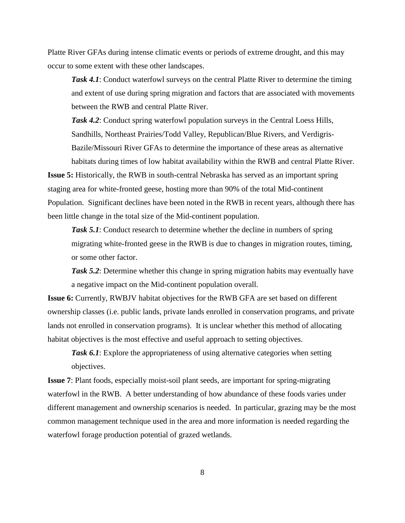Platte River GFAs during intense climatic events or periods of extreme drought, and this may occur to some extent with these other landscapes.

*Task 4.1*: Conduct waterfowl surveys on the central Platte River to determine the timing and extent of use during spring migration and factors that are associated with movements between the RWB and central Platte River.

**Task 4.2**: Conduct spring waterfowl population surveys in the Central Loess Hills, Sandhills, Northeast Prairies/Todd Valley, Republican/Blue Rivers, and Verdigris-Bazile/Missouri River GFAs to determine the importance of these areas as alternative habitats during times of low habitat availability within the RWB and central Platte River.

**Issue 5:** Historically, the RWB in south-central Nebraska has served as an important spring staging area for white-fronted geese, hosting more than 90% of the total Mid-continent Population. Significant declines have been noted in the RWB in recent years, although there has been little change in the total size of the Mid-continent population.

*Task 5.1*: Conduct research to determine whether the decline in numbers of spring migrating white-fronted geese in the RWB is due to changes in migration routes, timing, or some other factor.

*Task 5.2*: Determine whether this change in spring migration habits may eventually have a negative impact on the Mid-continent population overall.

**Issue 6:** Currently, RWBJV habitat objectives for the RWB GFA are set based on different ownership classes (i.e. public lands, private lands enrolled in conservation programs, and private lands not enrolled in conservation programs). It is unclear whether this method of allocating habitat objectives is the most effective and useful approach to setting objectives.

**Task 6.1**: Explore the appropriateness of using alternative categories when setting objectives.

**Issue 7**: Plant foods, especially moist-soil plant seeds, are important for spring-migrating waterfowl in the RWB. A better understanding of how abundance of these foods varies under different management and ownership scenarios is needed. In particular, grazing may be the most common management technique used in the area and more information is needed regarding the waterfowl forage production potential of grazed wetlands.

8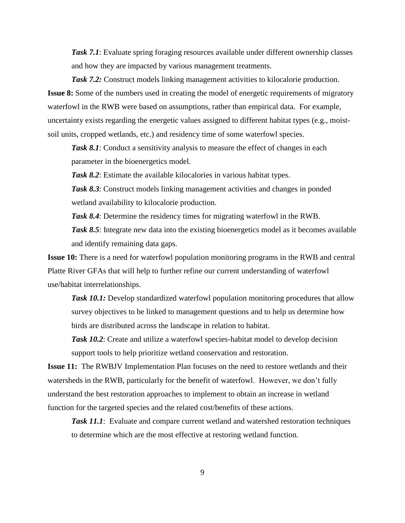*Task 7.1*: Evaluate spring foraging resources available under different ownership classes and how they are impacted by various management treatments.

**Task 7.2:** Construct models linking management activities to kilocalorie production. **Issue 8:** Some of the numbers used in creating the model of energetic requirements of migratory waterfowl in the RWB were based on assumptions, rather than empirical data. For example, uncertainty exists regarding the energetic values assigned to different habitat types (e.g., moistsoil units, cropped wetlands, etc.) and residency time of some waterfowl species.

**Task 8.1**: Conduct a sensitivity analysis to measure the effect of changes in each parameter in the bioenergetics model.

*Task 8.2*: Estimate the available kilocalories in various habitat types.

*Task 8.3*: Construct models linking management activities and changes in ponded wetland availability to kilocalorie production.

*Task 8.4*: Determine the residency times for migrating waterfowl in the RWB.

Task 8.5: Integrate new data into the existing bioenergetics model as it becomes available and identify remaining data gaps.

**Issue 10:** There is a need for waterfowl population monitoring programs in the RWB and central Platte River GFAs that will help to further refine our current understanding of waterfowl use/habitat interrelationships.

*Task 10.1:* Develop standardized waterfowl population monitoring procedures that allow survey objectives to be linked to management questions and to help us determine how birds are distributed across the landscape in relation to habitat.

**Task 10.2**: Create and utilize a waterfowl species-habitat model to develop decision support tools to help prioritize wetland conservation and restoration.

**Issue 11:** The RWBJV Implementation Plan focuses on the need to restore wetlands and their watersheds in the RWB, particularly for the benefit of waterfowl. However, we don't fully understand the best restoration approaches to implement to obtain an increase in wetland function for the targeted species and the related cost/benefits of these actions.

*Task 11.1*: Evaluate and compare current wetland and watershed restoration techniques to determine which are the most effective at restoring wetland function.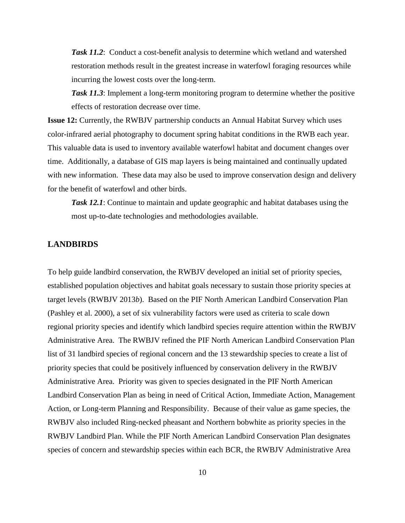*Task 11.2*: Conduct a cost-benefit analysis to determine which wetland and watershed restoration methods result in the greatest increase in waterfowl foraging resources while incurring the lowest costs over the long-term.

*Task 11.3*: Implement a long-term monitoring program to determine whether the positive effects of restoration decrease over time.

**Issue 12:** Currently, the RWBJV partnership conducts an Annual Habitat Survey which uses color-infrared aerial photography to document spring habitat conditions in the RWB each year. This valuable data is used to inventory available waterfowl habitat and document changes over time. Additionally, a database of GIS map layers is being maintained and continually updated with new information. These data may also be used to improve conservation design and delivery for the benefit of waterfowl and other birds.

*Task 12.1*: Continue to maintain and update geographic and habitat databases using the most up-to-date technologies and methodologies available.

#### <span id="page-12-0"></span>**LANDBIRDS**

To help guide landbird conservation, the RWBJV developed an initial set of priority species, established population objectives and habitat goals necessary to sustain those priority species at target levels (RWBJV 2013*b*). Based on the PIF North American Landbird Conservation Plan (Pashley et al. 2000), a set of six vulnerability factors were used as criteria to scale down regional priority species and identify which landbird species require attention within the RWBJV Administrative Area. The RWBJV refined the PIF North American Landbird Conservation Plan list of 31 landbird species of regional concern and the 13 stewardship species to create a list of priority species that could be positively influenced by conservation delivery in the RWBJV Administrative Area. Priority was given to species designated in the PIF North American Landbird Conservation Plan as being in need of Critical Action, Immediate Action, Management Action, or Long-term Planning and Responsibility. Because of their value as game species, the RWBJV also included Ring-necked pheasant and Northern bobwhite as priority species in the RWBJV Landbird Plan. While the PIF North American Landbird Conservation Plan designates species of concern and stewardship species within each BCR, the RWBJV Administrative Area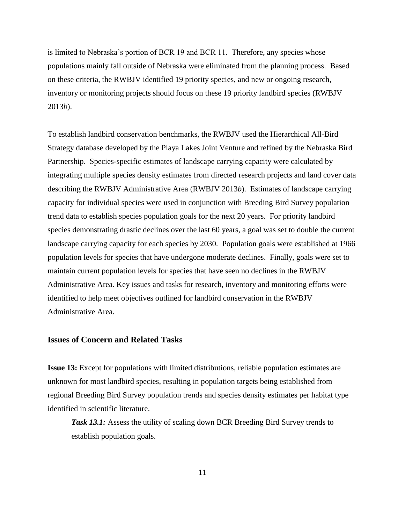is limited to Nebraska's portion of BCR 19 and BCR 11. Therefore, any species whose populations mainly fall outside of Nebraska were eliminated from the planning process. Based on these criteria, the RWBJV identified 19 priority species, and new or ongoing research, inventory or monitoring projects should focus on these 19 priority landbird species (RWBJV 2013*b*).

To establish landbird conservation benchmarks, the RWBJV used the Hierarchical All-Bird Strategy database developed by the Playa Lakes Joint Venture and refined by the Nebraska Bird Partnership. Species-specific estimates of landscape carrying capacity were calculated by integrating multiple species density estimates from directed research projects and land cover data describing the RWBJV Administrative Area (RWBJV 2013*b*). Estimates of landscape carrying capacity for individual species were used in conjunction with Breeding Bird Survey population trend data to establish species population goals for the next 20 years. For priority landbird species demonstrating drastic declines over the last 60 years, a goal was set to double the current landscape carrying capacity for each species by 2030. Population goals were established at 1966 population levels for species that have undergone moderate declines. Finally, goals were set to maintain current population levels for species that have seen no declines in the RWBJV Administrative Area. Key issues and tasks for research, inventory and monitoring efforts were identified to help meet objectives outlined for landbird conservation in the RWBJV Administrative Area.

#### <span id="page-13-0"></span>**Issues of Concern and Related Tasks**

**Issue 13:** Except for populations with limited distributions, reliable population estimates are unknown for most landbird species, resulting in population targets being established from regional Breeding Bird Survey population trends and species density estimates per habitat type identified in scientific literature.

*Task 13.1:* Assess the utility of scaling down BCR Breeding Bird Survey trends to establish population goals.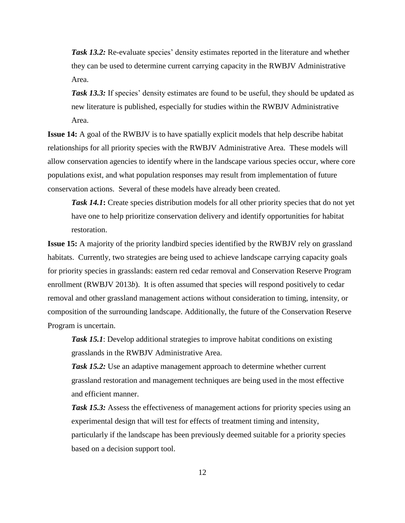*Task 13.2:* Re-evaluate species' density estimates reported in the literature and whether they can be used to determine current carrying capacity in the RWBJV Administrative Area.

*Task 13.3:* If species' density estimates are found to be useful, they should be updated as new literature is published, especially for studies within the RWBJV Administrative Area.

**Issue 14:** A goal of the RWBJV is to have spatially explicit models that help describe habitat relationships for all priority species with the RWBJV Administrative Area. These models will allow conservation agencies to identify where in the landscape various species occur, where core populations exist, and what population responses may result from implementation of future conservation actions. Several of these models have already been created.

*Task 14.1*: Create species distribution models for all other priority species that do not yet have one to help prioritize conservation delivery and identify opportunities for habitat restoration.

**Issue 15:** A majority of the priority landbird species identified by the RWBJV rely on grassland habitats. Currently, two strategies are being used to achieve landscape carrying capacity goals for priority species in grasslands: eastern red cedar removal and Conservation Reserve Program enrollment (RWBJV 2013*b*). It is often assumed that species will respond positively to cedar removal and other grassland management actions without consideration to timing, intensity, or composition of the surrounding landscape. Additionally, the future of the Conservation Reserve Program is uncertain.

**Task 15.1**: Develop additional strategies to improve habitat conditions on existing grasslands in the RWBJV Administrative Area.

*Task 15.2:* Use an adaptive management approach to determine whether current grassland restoration and management techniques are being used in the most effective and efficient manner.

*Task 15.3:* Assess the effectiveness of management actions for priority species using an experimental design that will test for effects of treatment timing and intensity, particularly if the landscape has been previously deemed suitable for a priority species based on a decision support tool.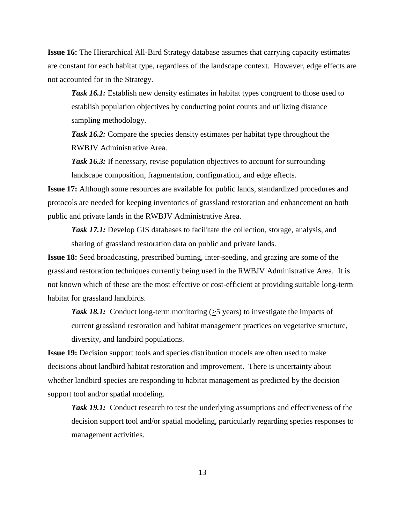**Issue 16:** The Hierarchical All-Bird Strategy database assumes that carrying capacity estimates are constant for each habitat type, regardless of the landscape context. However, edge effects are not accounted for in the Strategy.

*Task 16.1:* Establish new density estimates in habitat types congruent to those used to establish population objectives by conducting point counts and utilizing distance sampling methodology.

*Task 16.2:* Compare the species density estimates per habitat type throughout the RWBJV Administrative Area.

**Task 16.3:** If necessary, revise population objectives to account for surrounding landscape composition, fragmentation, configuration, and edge effects.

**Issue 17:** Although some resources are available for public lands, standardized procedures and protocols are needed for keeping inventories of grassland restoration and enhancement on both public and private lands in the RWBJV Administrative Area.

*Task 17.1:* Develop GIS databases to facilitate the collection, storage, analysis, and sharing of grassland restoration data on public and private lands.

**Issue 18:** Seed broadcasting, prescribed burning, inter-seeding, and grazing are some of the grassland restoration techniques currently being used in the RWBJV Administrative Area. It is not known which of these are the most effective or cost-efficient at providing suitable long-term habitat for grassland landbirds.

**Task 18.1:** Conduct long-term monitoring  $(\geq)$  years) to investigate the impacts of current grassland restoration and habitat management practices on vegetative structure, diversity, and landbird populations.

**Issue 19:** Decision support tools and species distribution models are often used to make decisions about landbird habitat restoration and improvement. There is uncertainty about whether landbird species are responding to habitat management as predicted by the decision support tool and/or spatial modeling.

*Task 19.1:* Conduct research to test the underlying assumptions and effectiveness of the decision support tool and/or spatial modeling, particularly regarding species responses to management activities.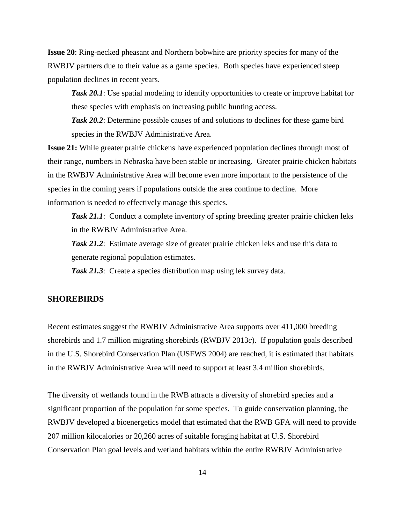**Issue 20**: Ring-necked pheasant and Northern bobwhite are priority species for many of the RWBJV partners due to their value as a game species. Both species have experienced steep population declines in recent years.

**Task 20.1**: Use spatial modeling to identify opportunities to create or improve habitat for these species with emphasis on increasing public hunting access.

*Task 20.2*: Determine possible causes of and solutions to declines for these game bird species in the RWBJV Administrative Area.

**Issue 21:** While greater prairie chickens have experienced population declines through most of their range, numbers in Nebraska have been stable or increasing. Greater prairie chicken habitats in the RWBJV Administrative Area will become even more important to the persistence of the species in the coming years if populations outside the area continue to decline. More information is needed to effectively manage this species.

*Task 21.1*: Conduct a complete inventory of spring breeding greater prairie chicken leks in the RWBJV Administrative Area.

*Task 21.2*: Estimate average size of greater prairie chicken leks and use this data to generate regional population estimates.

*Task 21.3*: Create a species distribution map using lek survey data.

#### <span id="page-16-0"></span>**SHOREBIRDS**

Recent estimates suggest the RWBJV Administrative Area supports over 411,000 breeding shorebirds and 1.7 million migrating shorebirds (RWBJV 2013*c*). If population goals described in the U.S. Shorebird Conservation Plan (USFWS 2004) are reached, it is estimated that habitats in the RWBJV Administrative Area will need to support at least 3.4 million shorebirds.

The diversity of wetlands found in the RWB attracts a diversity of shorebird species and a significant proportion of the population for some species. To guide conservation planning, the RWBJV developed a bioenergetics model that estimated that the RWB GFA will need to provide 207 million kilocalories or 20,260 acres of suitable foraging habitat at U.S. Shorebird Conservation Plan goal levels and wetland habitats within the entire RWBJV Administrative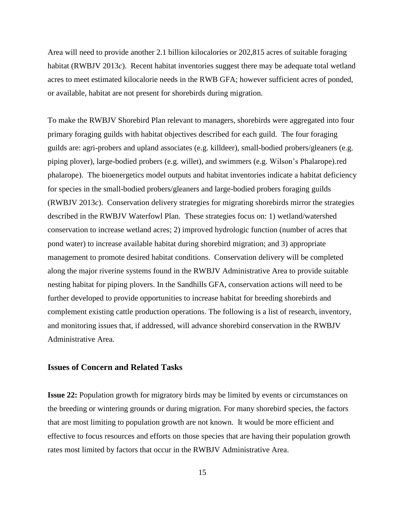Area will need to provide another 2.1 billion kilocalories or 202,815 acres of suitable foraging habitat (RWBJV 2013*c*). Recent habitat inventories suggest there may be adequate total wetland acres to meet estimated kilocalorie needs in the RWB GFA; however sufficient acres of ponded, or available, habitat are not present for shorebirds during migration.

To make the RWBJV Shorebird Plan relevant to managers, shorebirds were aggregated into four primary foraging guilds with habitat objectives described for each guild. The four foraging guilds are: agri-probers and upland associates (e.g. killdeer), small-bodied probers/gleaners (e.g. piping plover), large-bodied probers (e.g. willet), and swimmers (e.g. Wilson's Phalarope).red phalarope). The bioenergetics model outputs and habitat inventories indicate a habitat deficiency for species in the small-bodied probers/gleaners and large-bodied probers foraging guilds (RWBJV 2013*c*). Conservation delivery strategies for migrating shorebirds mirror the strategies described in the RWBJV Waterfowl Plan. These strategies focus on: 1) wetland/watershed conservation to increase wetland acres; 2) improved hydrologic function (number of acres that pond water) to increase available habitat during shorebird migration; and 3) appropriate management to promote desired habitat conditions. Conservation delivery will be completed along the major riverine systems found in the RWBJV Administrative Area to provide suitable nesting habitat for piping plovers. In the Sandhills GFA, conservation actions will need to be further developed to provide opportunities to increase habitat for breeding shorebirds and complement existing cattle production operations. The following is a list of research, inventory, and monitoring issues that, if addressed, will advance shorebird conservation in the RWBJV Administrative Area.

#### <span id="page-17-0"></span>**Issues of Concern and Related Tasks**

**Issue 22:** Population growth for migratory birds may be limited by events or circumstances on the breeding or wintering grounds or during migration. For many shorebird species, the factors that are most limiting to population growth are not known. It would be more efficient and effective to focus resources and efforts on those species that are having their population growth rates most limited by factors that occur in the RWBJV Administrative Area.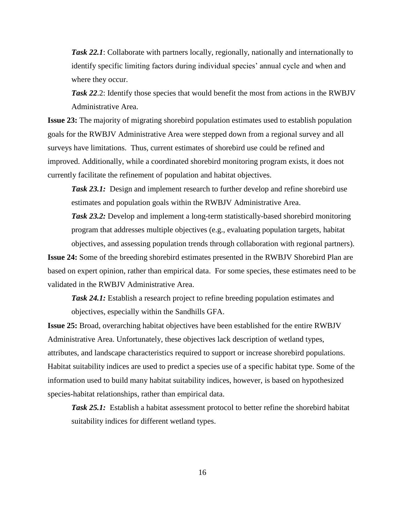*Task 22.1*: Collaborate with partners locally, regionally, nationally and internationally to identify specific limiting factors during individual species' annual cycle and when and where they occur.

**Task 22.2:** Identify those species that would benefit the most from actions in the RWBJV Administrative Area.

**Issue 23:** The majority of migrating shorebird population estimates used to establish population goals for the RWBJV Administrative Area were stepped down from a regional survey and all surveys have limitations. Thus, current estimates of shorebird use could be refined and improved. Additionally, while a coordinated shorebird monitoring program exists, it does not currently facilitate the refinement of population and habitat objectives.

*Task 23.1:* Design and implement research to further develop and refine shorebird use estimates and population goals within the RWBJV Administrative Area.

**Task 23.2:** Develop and implement a long-term statistically-based shorebird monitoring program that addresses multiple objectives (e.g., evaluating population targets, habitat objectives, and assessing population trends through collaboration with regional partners).

**Issue 24:** Some of the breeding shorebird estimates presented in the RWBJV Shorebird Plan are based on expert opinion, rather than empirical data. For some species, these estimates need to be validated in the RWBJV Administrative Area.

*Task 24.1:* Establish a research project to refine breeding population estimates and objectives, especially within the Sandhills GFA.

**Issue 25:** Broad, overarching habitat objectives have been established for the entire RWBJV Administrative Area. Unfortunately, these objectives lack description of wetland types, attributes, and landscape characteristics required to support or increase shorebird populations. Habitat suitability indices are used to predict a species use of a specific habitat type. Some of the information used to build many habitat suitability indices, however, is based on hypothesized species-habitat relationships, rather than empirical data.

*Task 25.1:* Establish a habitat assessment protocol to better refine the shorebird habitat suitability indices for different wetland types.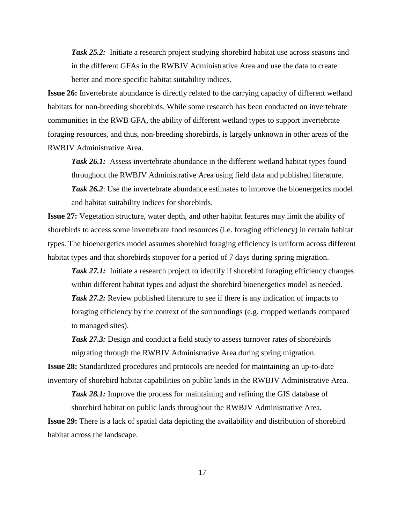*Task 25.2:* Initiate a research project studying shorebird habitat use across seasons and in the different GFAs in the RWBJV Administrative Area and use the data to create better and more specific habitat suitability indices.

**Issue 26:** Invertebrate abundance is directly related to the carrying capacity of different wetland habitats for non-breeding shorebirds. While some research has been conducted on invertebrate communities in the RWB GFA, the ability of different wetland types to support invertebrate foraging resources, and thus, non-breeding shorebirds, is largely unknown in other areas of the RWBJV Administrative Area.

*Task 26.1:* Assess invertebrate abundance in the different wetland habitat types found throughout the RWBJV Administrative Area using field data and published literature. **Task 26.2**: Use the invertebrate abundance estimates to improve the bioenergetics model and habitat suitability indices for shorebirds.

**Issue 27:** Vegetation structure, water depth, and other habitat features may limit the ability of shorebirds to access some invertebrate food resources (i.e. foraging efficiency) in certain habitat types. The bioenergetics model assumes shorebird foraging efficiency is uniform across different habitat types and that shorebirds stopover for a period of 7 days during spring migration.

**Task 27.1:** Initiate a research project to identify if shorebird foraging efficiency changes within different habitat types and adjust the shorebird bioenergetics model as needed. *Task 27.2:* Review published literature to see if there is any indication of impacts to foraging efficiency by the context of the surroundings (e.g. cropped wetlands compared to managed sites).

*Task 27.3:* Design and conduct a field study to assess turnover rates of shorebirds migrating through the RWBJV Administrative Area during spring migration.

**Issue 28:** Standardized procedures and protocols are needed for maintaining an up-to-date inventory of shorebird habitat capabilities on public lands in the RWBJV Administrative Area.

**Task 28.1:** Improve the process for maintaining and refining the GIS database of shorebird habitat on public lands throughout the RWBJV Administrative Area.

**Issue 29:** There is a lack of spatial data depicting the availability and distribution of shorebird habitat across the landscape.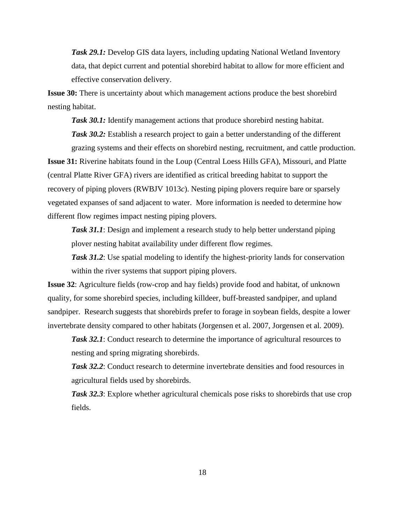**Task 29.1:** Develop GIS data layers, including updating National Wetland Inventory data, that depict current and potential shorebird habitat to allow for more efficient and effective conservation delivery.

**Issue 30:** There is uncertainty about which management actions produce the best shorebird nesting habitat.

**Task 30.1:** Identify management actions that produce shorebird nesting habitat. **Task 30.2:** Establish a research project to gain a better understanding of the different grazing systems and their effects on shorebird nesting, recruitment, and cattle production.

**Issue 31:** Riverine habitats found in the Loup (Central Loess Hills GFA), Missouri, and Platte (central Platte River GFA) rivers are identified as critical breeding habitat to support the recovery of piping plovers (RWBJV 1013*c*). Nesting piping plovers require bare or sparsely vegetated expanses of sand adjacent to water. More information is needed to determine how different flow regimes impact nesting piping plovers.

**Task 31.1**: Design and implement a research study to help better understand piping plover nesting habitat availability under different flow regimes.

**Task 31.2**: Use spatial modeling to identify the highest-priority lands for conservation within the river systems that support piping plovers.

**Issue 32**: Agriculture fields (row-crop and hay fields) provide food and habitat, of unknown quality, for some shorebird species, including killdeer, buff-breasted sandpiper, and upland sandpiper. Research suggests that shorebirds prefer to forage in soybean fields, despite a lower invertebrate density compared to other habitats (Jorgensen et al. 2007, Jorgensen et al. 2009).

*Task 32.1*: Conduct research to determine the importance of agricultural resources to nesting and spring migrating shorebirds.

*Task 32.2*: Conduct research to determine invertebrate densities and food resources in agricultural fields used by shorebirds.

**Task 32.3**: Explore whether agricultural chemicals pose risks to shorebirds that use crop fields.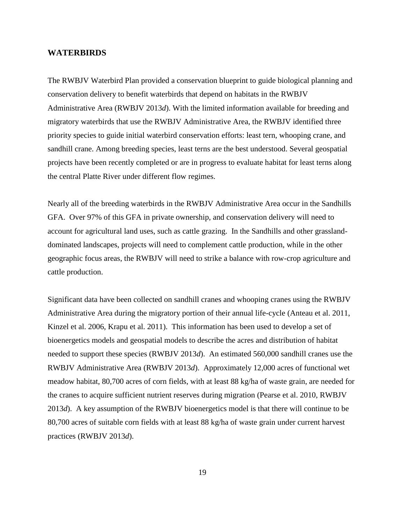#### <span id="page-21-0"></span>**WATERBIRDS**

The RWBJV Waterbird Plan provided a conservation blueprint to guide biological planning and conservation delivery to benefit waterbirds that depend on habitats in the RWBJV Administrative Area (RWBJV 2013*d*). With the limited information available for breeding and migratory waterbirds that use the RWBJV Administrative Area, the RWBJV identified three priority species to guide initial waterbird conservation efforts: least tern, whooping crane, and sandhill crane. Among breeding species, least terns are the best understood. Several geospatial projects have been recently completed or are in progress to evaluate habitat for least terns along the central Platte River under different flow regimes.

Nearly all of the breeding waterbirds in the RWBJV Administrative Area occur in the Sandhills GFA. Over 97% of this GFA in private ownership, and conservation delivery will need to account for agricultural land uses, such as cattle grazing. In the Sandhills and other grasslanddominated landscapes, projects will need to complement cattle production, while in the other geographic focus areas, the RWBJV will need to strike a balance with row-crop agriculture and cattle production.

Significant data have been collected on sandhill cranes and whooping cranes using the RWBJV Administrative Area during the migratory portion of their annual life-cycle (Anteau et al. 2011, Kinzel et al. 2006, Krapu et al. 2011). This information has been used to develop a set of bioenergetics models and geospatial models to describe the acres and distribution of habitat needed to support these species (RWBJV 2013*d*). An estimated 560,000 sandhill cranes use the RWBJV Administrative Area (RWBJV 2013*d*). Approximately 12,000 acres of functional wet meadow habitat, 80,700 acres of corn fields, with at least 88 kg/ha of waste grain, are needed for the cranes to acquire sufficient nutrient reserves during migration (Pearse et al. 2010, RWBJV 2013*d*). A key assumption of the RWBJV bioenergetics model is that there will continue to be 80,700 acres of suitable corn fields with at least 88 kg/ha of waste grain under current harvest practices (RWBJV 2013*d*).

19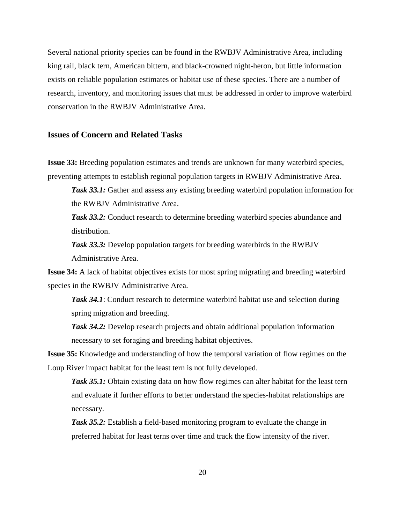Several national priority species can be found in the RWBJV Administrative Area, including king rail, black tern, American bittern, and black-crowned night-heron, but little information exists on reliable population estimates or habitat use of these species. There are a number of research, inventory, and monitoring issues that must be addressed in order to improve waterbird conservation in the RWBJV Administrative Area.

#### <span id="page-22-0"></span>**Issues of Concern and Related Tasks**

**Issue 33:** Breeding population estimates and trends are unknown for many waterbird species, preventing attempts to establish regional population targets in RWBJV Administrative Area.

*Task 33.1:* Gather and assess any existing breeding waterbird population information for the RWBJV Administrative Area.

**Task 33.2:** Conduct research to determine breeding waterbird species abundance and distribution.

*Task 33.3:* Develop population targets for breeding waterbirds in the RWBJV Administrative Area.

**Issue 34:** A lack of habitat objectives exists for most spring migrating and breeding waterbird species in the RWBJV Administrative Area.

*Task 34.1*: Conduct research to determine waterbird habitat use and selection during spring migration and breeding.

*Task 34.2:* Develop research projects and obtain additional population information necessary to set foraging and breeding habitat objectives.

**Issue 35:** Knowledge and understanding of how the temporal variation of flow regimes on the Loup River impact habitat for the least tern is not fully developed.

*Task 35.1:* Obtain existing data on how flow regimes can alter habitat for the least tern and evaluate if further efforts to better understand the species-habitat relationships are necessary.

**Task 35.2:** Establish a field-based monitoring program to evaluate the change in preferred habitat for least terns over time and track the flow intensity of the river.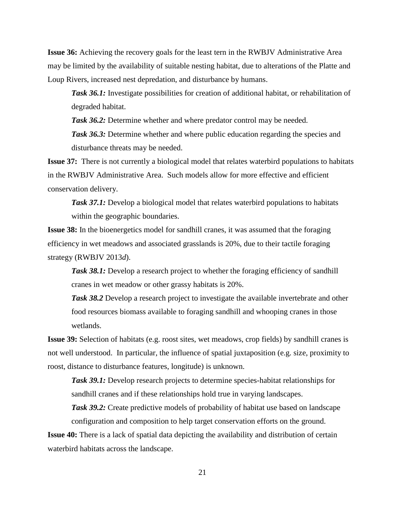**Issue 36:** Achieving the recovery goals for the least tern in the RWBJV Administrative Area may be limited by the availability of suitable nesting habitat, due to alterations of the Platte and Loup Rivers, increased nest depredation, and disturbance by humans.

**Task 36.1:** Investigate possibilities for creation of additional habitat, or rehabilitation of degraded habitat.

**Task 36.2:** Determine whether and where predator control may be needed.

**Task 36.3:** Determine whether and where public education regarding the species and disturbance threats may be needed.

**Issue 37:** There is not currently a biological model that relates waterbird populations to habitats in the RWBJV Administrative Area. Such models allow for more effective and efficient conservation delivery.

*Task 37.1:* Develop a biological model that relates waterbird populations to habitats within the geographic boundaries.

**Issue 38:** In the bioenergetics model for sandhill cranes, it was assumed that the foraging efficiency in wet meadows and associated grasslands is 20%, due to their tactile foraging strategy (RWBJV 2013*d*).

**Task 38.1:** Develop a research project to whether the foraging efficiency of sandhill cranes in wet meadow or other grassy habitats is 20%.

*Task 38.2* Develop a research project to investigate the available invertebrate and other food resources biomass available to foraging sandhill and whooping cranes in those wetlands.

**Issue 39:** Selection of habitats (e.g. roost sites, wet meadows, crop fields) by sandhill cranes is not well understood. In particular, the influence of spatial juxtaposition (e.g. size, proximity to roost, distance to disturbance features, longitude) is unknown.

**Task 39.1:** Develop research projects to determine species-habitat relationships for sandhill cranes and if these relationships hold true in varying landscapes.

**Task 39.2:** Create predictive models of probability of habitat use based on landscape configuration and composition to help target conservation efforts on the ground.

**Issue 40:** There is a lack of spatial data depicting the availability and distribution of certain waterbird habitats across the landscape.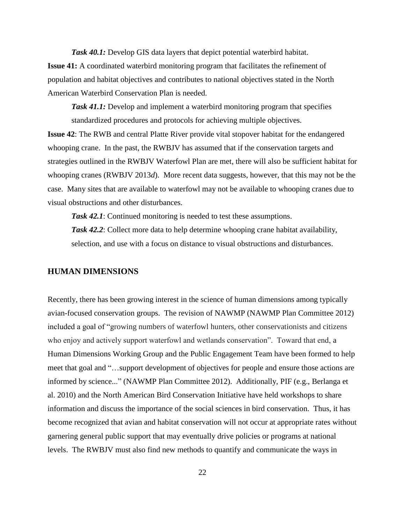*Task 40.1:* Develop GIS data layers that depict potential waterbird habitat. **Issue 41:** A coordinated waterbird monitoring program that facilitates the refinement of population and habitat objectives and contributes to national objectives stated in the North American Waterbird Conservation Plan is needed.

*Task 41.1:* Develop and implement a waterbird monitoring program that specifies standardized procedures and protocols for achieving multiple objectives.

**Issue 42**: The RWB and central Platte River provide vital stopover habitat for the endangered whooping crane. In the past, the RWBJV has assumed that if the conservation targets and strategies outlined in the RWBJV Waterfowl Plan are met, there will also be sufficient habitat for whooping cranes (RWBJV 2013*d*). More recent data suggests, however, that this may not be the case. Many sites that are available to waterfowl may not be available to whooping cranes due to visual obstructions and other disturbances.

*Task 42.1*: Continued monitoring is needed to test these assumptions.

*Task 42.2*: Collect more data to help determine whooping crane habitat availability, selection, and use with a focus on distance to visual obstructions and disturbances.

#### <span id="page-24-0"></span>**HUMAN DIMENSIONS**

Recently, there has been growing interest in the science of human dimensions among typically avian-focused conservation groups. The revision of NAWMP (NAWMP Plan Committee 2012) included a goal of "growing numbers of waterfowl hunters, other conservationists and citizens who enjoy and actively support waterfowl and wetlands conservation". Toward that end, a Human Dimensions Working Group and the Public Engagement Team have been formed to help meet that goal and "…support development of objectives for people and ensure those actions are informed by science..." (NAWMP Plan Committee 2012). Additionally, PIF (e.g., Berlanga et al. 2010) and the North American Bird Conservation Initiative have held workshops to share information and discuss the importance of the social sciences in bird conservation. Thus, it has become recognized that avian and habitat conservation will not occur at appropriate rates without garnering general public support that may eventually drive policies or programs at national levels. The RWBJV must also find new methods to quantify and communicate the ways in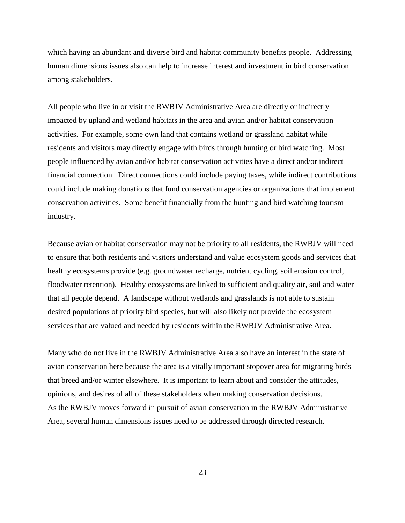which having an abundant and diverse bird and habitat community benefits people. Addressing human dimensions issues also can help to increase interest and investment in bird conservation among stakeholders.

All people who live in or visit the RWBJV Administrative Area are directly or indirectly impacted by upland and wetland habitats in the area and avian and/or habitat conservation activities. For example, some own land that contains wetland or grassland habitat while residents and visitors may directly engage with birds through hunting or bird watching. Most people influenced by avian and/or habitat conservation activities have a direct and/or indirect financial connection. Direct connections could include paying taxes, while indirect contributions could include making donations that fund conservation agencies or organizations that implement conservation activities. Some benefit financially from the hunting and bird watching tourism industry.

Because avian or habitat conservation may not be priority to all residents, the RWBJV will need to ensure that both residents and visitors understand and value ecosystem goods and services that healthy ecosystems provide (e.g. groundwater recharge, nutrient cycling, soil erosion control, floodwater retention). Healthy ecosystems are linked to sufficient and quality air, soil and water that all people depend. A landscape without wetlands and grasslands is not able to sustain desired populations of priority bird species, but will also likely not provide the ecosystem services that are valued and needed by residents within the RWBJV Administrative Area.

Many who do not live in the RWBJV Administrative Area also have an interest in the state of avian conservation here because the area is a vitally important stopover area for migrating birds that breed and/or winter elsewhere. It is important to learn about and consider the attitudes, opinions, and desires of all of these stakeholders when making conservation decisions. As the RWBJV moves forward in pursuit of avian conservation in the RWBJV Administrative Area, several human dimensions issues need to be addressed through directed research.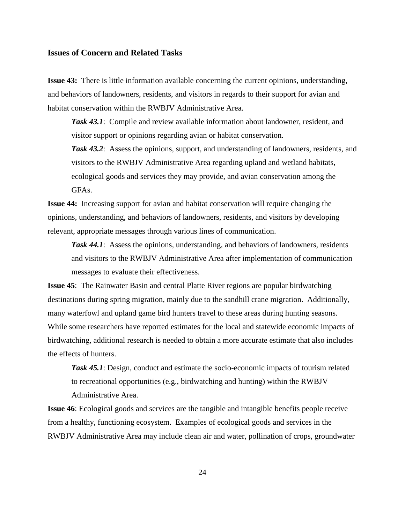#### <span id="page-26-0"></span>**Issues of Concern and Related Tasks**

**Issue 43:** There is little information available concerning the current opinions, understanding, and behaviors of landowners, residents, and visitors in regards to their support for avian and habitat conservation within the RWBJV Administrative Area.

*Task 43.1*: Compile and review available information about landowner, resident, and visitor support or opinions regarding avian or habitat conservation.

*Task 43.2*: Assess the opinions, support, and understanding of landowners, residents, and visitors to the RWBJV Administrative Area regarding upland and wetland habitats, ecological goods and services they may provide, and avian conservation among the GFAs.

**Issue 44:** Increasing support for avian and habitat conservation will require changing the opinions, understanding, and behaviors of landowners, residents, and visitors by developing relevant, appropriate messages through various lines of communication.

*Task 44.1*: Assess the opinions, understanding, and behaviors of landowners, residents and visitors to the RWBJV Administrative Area after implementation of communication messages to evaluate their effectiveness.

**Issue 45**: The Rainwater Basin and central Platte River regions are popular birdwatching destinations during spring migration, mainly due to the sandhill crane migration. Additionally, many waterfowl and upland game bird hunters travel to these areas during hunting seasons. While some researchers have reported estimates for the local and statewide economic impacts of birdwatching, additional research is needed to obtain a more accurate estimate that also includes the effects of hunters.

*Task 45.1*: Design, conduct and estimate the socio-economic impacts of tourism related to recreational opportunities (e.g., birdwatching and hunting) within the RWBJV Administrative Area.

**Issue 46**: Ecological goods and services are the tangible and intangible benefits people receive from a healthy, functioning ecosystem. Examples of ecological goods and services in the RWBJV Administrative Area may include clean air and water, pollination of crops, groundwater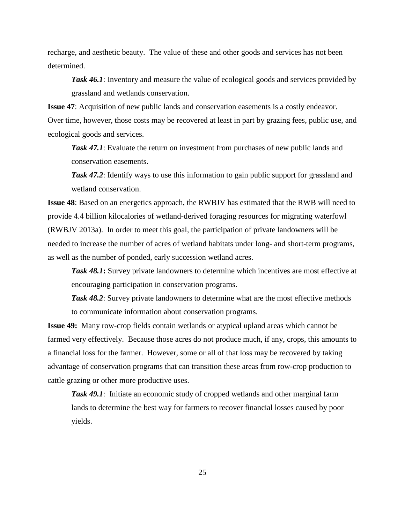recharge, and aesthetic beauty. The value of these and other goods and services has not been determined.

**Task 46.1**: Inventory and measure the value of ecological goods and services provided by grassland and wetlands conservation.

**Issue 47**: Acquisition of new public lands and conservation easements is a costly endeavor. Over time, however, those costs may be recovered at least in part by grazing fees, public use, and ecological goods and services.

*Task 47.1*: Evaluate the return on investment from purchases of new public lands and conservation easements.

**Task 47.2**: Identify ways to use this information to gain public support for grassland and wetland conservation.

**Issue 48**: Based on an energetics approach, the RWBJV has estimated that the RWB will need to provide 4.4 billion kilocalories of wetland-derived foraging resources for migrating waterfowl (RWBJV 2013a). In order to meet this goal, the participation of private landowners will be needed to increase the number of acres of wetland habitats under long- and short-term programs, as well as the number of ponded, early succession wetland acres.

*Task 48.1***:** Survey private landowners to determine which incentives are most effective at encouraging participation in conservation programs.

*Task 48.2*: Survey private landowners to determine what are the most effective methods to communicate information about conservation programs.

**Issue 49:** Many row-crop fields contain wetlands or atypical upland areas which cannot be farmed very effectively. Because those acres do not produce much, if any, crops, this amounts to a financial loss for the farmer. However, some or all of that loss may be recovered by taking advantage of conservation programs that can transition these areas from row-crop production to cattle grazing or other more productive uses.

**Task 49.1**: Initiate an economic study of cropped wetlands and other marginal farm lands to determine the best way for farmers to recover financial losses caused by poor yields.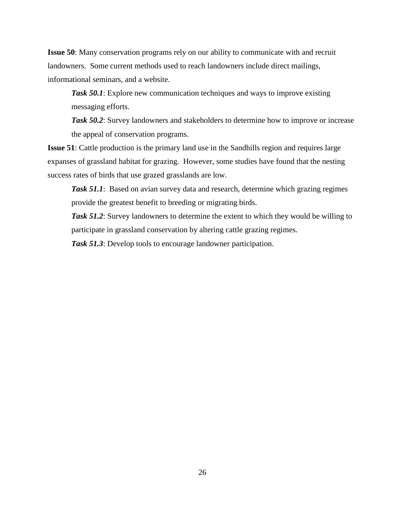**Issue 50**: Many conservation programs rely on our ability to communicate with and recruit landowners. Some current methods used to reach landowners include direct mailings, informational seminars, and a website.

*Task 50.1*: Explore new communication techniques and ways to improve existing messaging efforts.

**Task 50.2**: Survey landowners and stakeholders to determine how to improve or increase the appeal of conservation programs.

**Issue 51**: Cattle production is the primary land use in the Sandhills region and requires large expanses of grassland habitat for grazing. However, some studies have found that the nesting success rates of birds that use grazed grasslands are low.

*Task 51.1*: Based on avian survey data and research, determine which grazing regimes provide the greatest benefit to breeding or migrating birds.

*Task 51.2*: Survey landowners to determine the extent to which they would be willing to participate in grassland conservation by altering cattle grazing regimes.

*Task 51.3*: Develop tools to encourage landowner participation.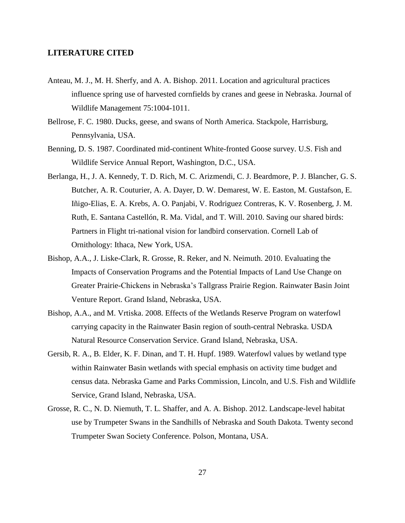#### <span id="page-29-0"></span>**LITERATURE CITED**

- Anteau, M. J., M. H. Sherfy, and A. A. Bishop. 2011. Location and agricultural practices influence spring use of harvested cornfields by cranes and geese in Nebraska. Journal of Wildlife Management 75:1004-1011.
- Bellrose, F. C. 1980. Ducks, geese, and swans of North America. Stackpole, Harrisburg, Pennsylvania, USA.
- Benning, D. S. 1987. Coordinated mid-continent White-fronted Goose survey. U.S. Fish and Wildlife Service Annual Report, Washington, D.C., USA.
- Berlanga, H., J. A. Kennedy, T. D. Rich, M. C. Arizmendi, C. J. Beardmore, P. J. Blancher, G. S. Butcher, A. R. Couturier, A. A. Dayer, D. W. Demarest, W. E. Easton, M. Gustafson, E. Iñigo-Elias, E. A. Krebs, A. O. Panjabi, V. Rodriguez Contreras, K. V. Rosenberg, J. M. Ruth, E. Santana Castellón, R. Ma. Vidal, and T. Will. 2010. Saving our shared birds: Partners in Flight tri-national vision for landbird conservation. Cornell Lab of Ornithology: Ithaca, New York, USA.
- Bishop, A.A., J. Liske-Clark, R. Grosse, R. Reker, and N. Neimuth. 2010. Evaluating the Impacts of Conservation Programs and the Potential Impacts of Land Use Change on Greater Prairie-Chickens in Nebraska's Tallgrass Prairie Region. Rainwater Basin Joint Venture Report. Grand Island, Nebraska, USA.
- Bishop, A.A., and M. Vrtiska. 2008. Effects of the Wetlands Reserve Program on waterfowl carrying capacity in the Rainwater Basin region of south-central Nebraska. USDA Natural Resource Conservation Service. Grand Island, Nebraska, USA.
- Gersib, R. A., B. Elder, K. F. Dinan, and T. H. Hupf. 1989. Waterfowl values by wetland type within Rainwater Basin wetlands with special emphasis on activity time budget and census data. Nebraska Game and Parks Commission, Lincoln, and U.S. Fish and Wildlife Service, Grand Island, Nebraska, USA.
- Grosse, R. C., N. D. Niemuth, T. L. Shaffer, and A. A. Bishop. 2012. Landscape-level habitat use by Trumpeter Swans in the Sandhills of Nebraska and South Dakota. Twenty second Trumpeter Swan Society Conference. Polson, Montana, USA.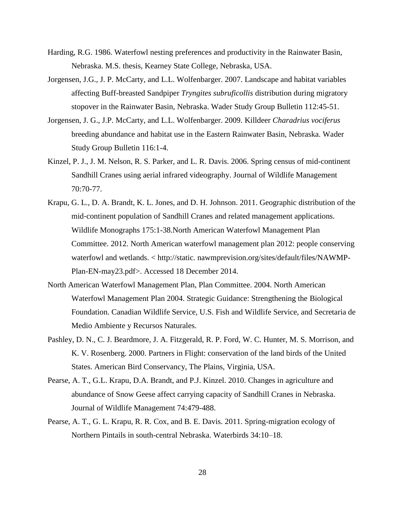- Harding, R.G. 1986. Waterfowl nesting preferences and productivity in the Rainwater Basin, Nebraska. M.S. thesis, Kearney State College, Nebraska, USA.
- Jorgensen, J.G., J. P. McCarty, and L.L. Wolfenbarger. 2007. Landscape and habitat variables affecting Buff-breasted Sandpiper *Tryngites subruficollis* distribution during migratory stopover in the Rainwater Basin, Nebraska. Wader Study Group Bulletin 112:45-51.
- Jorgensen, J. G., J.P. McCarty, and L.L. Wolfenbarger. 2009. Killdeer *Charadrius vociferus* breeding abundance and habitat use in the Eastern Rainwater Basin, Nebraska. Wader Study Group Bulletin 116:1-4.
- Kinzel, P. J., J. M. Nelson, R. S. Parker, and L. R. Davis. 2006. Spring census of mid-continent Sandhill Cranes using aerial infrared videography. Journal of Wildlife Management 70:70-77.
- Krapu, G. L., D. A. Brandt, K. L. Jones, and D. H. Johnson. 2011. Geographic distribution of the mid-continent population of Sandhill Cranes and related management applications. Wildlife Monographs 175:1-38.North American Waterfowl Management Plan Committee. 2012. North American waterfowl management plan 2012: people conserving waterfowl and wetlands. < http://static. nawmprevision.org/sites/default/files/NAWMP-Plan-EN-may23.pdf>. Accessed 18 December 2014.
- North American Waterfowl Management Plan, Plan Committee. 2004. North American Waterfowl Management Plan 2004. Strategic Guidance: Strengthening the Biological Foundation. Canadian Wildlife Service, U.S. Fish and Wildlife Service, and Secretaria de Medio Ambiente y Recursos Naturales.
- Pashley, D. N., C. J. Beardmore, J. A. Fitzgerald, R. P. Ford, W. C. Hunter, M. S. Morrison, and K. V. Rosenberg. 2000. Partners in Flight: conservation of the land birds of the United States. American Bird Conservancy, The Plains, Virginia, USA.
- Pearse, A. T., G.L. Krapu, D.A. Brandt, and P.J. Kinzel. 2010. Changes in agriculture and abundance of Snow Geese affect carrying capacity of Sandhill Cranes in Nebraska. Journal of Wildlife Management 74:479-488.
- Pearse, A. T., G. L. Krapu, R. R. Cox, and B. E. Davis. 2011. Spring-migration ecology of Northern Pintails in south-central Nebraska. Waterbirds 34:10–18.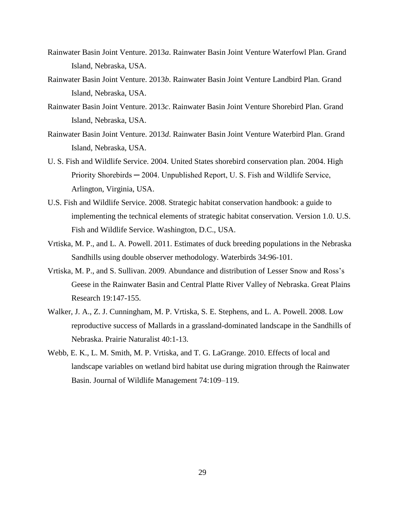- Rainwater Basin Joint Venture. 2013*a*. Rainwater Basin Joint Venture Waterfowl Plan. Grand Island, Nebraska, USA.
- Rainwater Basin Joint Venture. 2013*b*. Rainwater Basin Joint Venture Landbird Plan. Grand Island, Nebraska, USA.
- Rainwater Basin Joint Venture. 2013*c*. Rainwater Basin Joint Venture Shorebird Plan. Grand Island, Nebraska, USA.
- Rainwater Basin Joint Venture. 2013*d*. Rainwater Basin Joint Venture Waterbird Plan. Grand Island, Nebraska, USA.
- U. S. Fish and Wildlife Service. 2004. United States shorebird conservation plan. 2004. High Priority Shorebirds ─ 2004. Unpublished Report, U. S. Fish and Wildlife Service, Arlington, Virginia, USA.
- U.S. Fish and Wildlife Service. 2008. Strategic habitat conservation handbook: a guide to implementing the technical elements of strategic habitat conservation. Version 1.0. U.S. Fish and Wildlife Service. Washington, D.C., USA.
- Vrtiska, M. P., and L. A. Powell. 2011. Estimates of duck breeding populations in the Nebraska Sandhills using double observer methodology. Waterbirds 34:96-101.
- Vrtiska, M. P., and S. Sullivan. 2009. Abundance and distribution of Lesser Snow and Ross's Geese in the Rainwater Basin and Central Platte River Valley of Nebraska. Great Plains Research 19:147-155.
- Walker, J. A., Z. J. Cunningham, M. P. Vrtiska, S. E. Stephens, and L. A. Powell. 2008. Low reproductive success of Mallards in a grassland-dominated landscape in the Sandhills of Nebraska. Prairie Naturalist 40:1-13.
- Webb, E. K., L. M. Smith, M. P. Vrtiska, and T. G. LaGrange. 2010. Effects of local and landscape variables on wetland bird habitat use during migration through the Rainwater Basin. Journal of Wildlife Management 74:109–119.